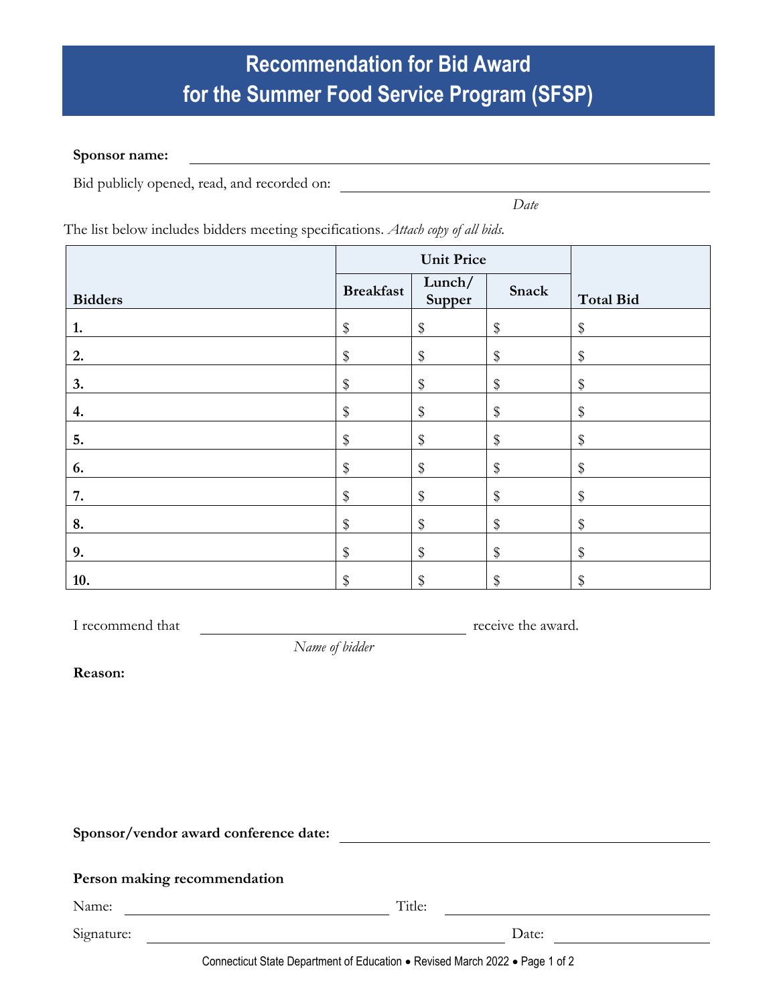## **Recommendation for Bid Award for the Summer Food Service Program (SFSP)**

<u> 1980 - Johann Barbara, martxa alemaniar argametar a martxa a shekara a shekara a shekara a shekara a shekara</u>

## **Sponsor name:**

Bid publicly opened, read, and recorded on:

*Date*

The list below includes bidders meeting specifications. *Attach copy of all bids.*

|                | <b>Unit Price</b> |                  |       |                  |
|----------------|-------------------|------------------|-------|------------------|
| <b>Bidders</b> | <b>Breakfast</b>  | Lunch/<br>Supper | Snack | <b>Total Bid</b> |
| 1.             | \$                | \$               | \$    | \$               |
| 2.             | \$                | \$               | \$    | \$               |
| 3.             | \$                | \$               | \$    | \$               |
| 4.             | \$                | \$               | \$    | $\frac{1}{2}$    |
| 5.             | \$                | \$               | \$    | \$               |
| 6.             | \$                | \$               | \$    | \$               |
| 7.             | \$                | \$               | $\,$  | \$               |
| 8.             | \$                | \$               | \$    | \$               |
| 9.             | \$                | \$               | \$    | $\,$             |
| 10.            | \$                | \$               | $\$\$ | $\$\$            |

I recommend that  $\qquad$  receive the award.

*Name of bidder*

**Reason:**

**Sponsor/vendor award conference date:**

|  | Person making recommendation |
|--|------------------------------|
|  |                              |

Name: Title:

Signature: Date:

Connecticut State Department of Education • Revised March 2022 • Page 1 of 2